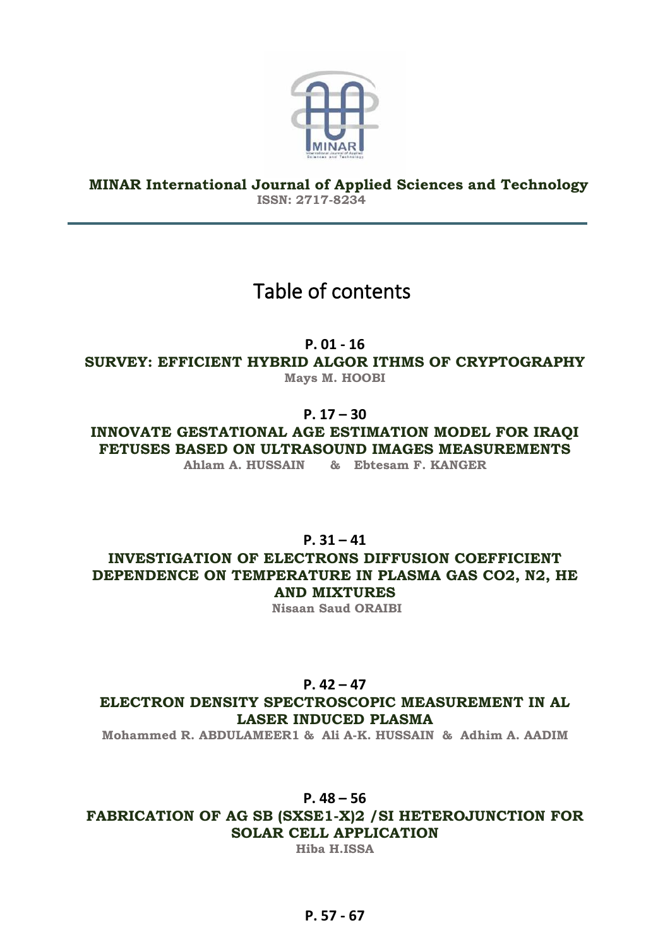

**MINAR International Journal of Applied Sciences and Technology ISSN: 2717-8234**

# Table of contents

**P. 01 - 16**

**SURVEY: EFFICIENT HYBRID ALGOR ITHMS OF CRYPTOGRAPHY Mays M. HOOBI**

**P. 17 – 30**

**INNOVATE GESTATIONAL AGE ESTIMATION MODEL FOR IRAQI FETUSES BASED ON ULTRASOUND IMAGES MEASUREMENTS** 

**Ahlam A. HUSSAIN & Ebtesam F. KANGER**

**P. 31 – 41**

**INVESTIGATION OF ELECTRONS DIFFUSION COEFFICIENT DEPENDENCE ON TEMPERATURE IN PLASMA GAS CO2, N2, HE AND MIXTURES**

**Nisaan Saud ORAIBI**

## **P. 42 – 47**

**ELECTRON DENSITY SPECTROSCOPIC MEASUREMENT IN AL LASER INDUCED PLASMA**

**Mohammed R. ABDULAMEER1 & Ali A-K. HUSSAIN & Adhim A. AADIM**

## **P. 48 – 56**

**FABRICATION OF AG SB (SXSE1-X)2 /SI HETEROJUNCTION FOR SOLAR CELL APPLICATION**

**Hiba H.ISSA**

## **P. 57 - 67**